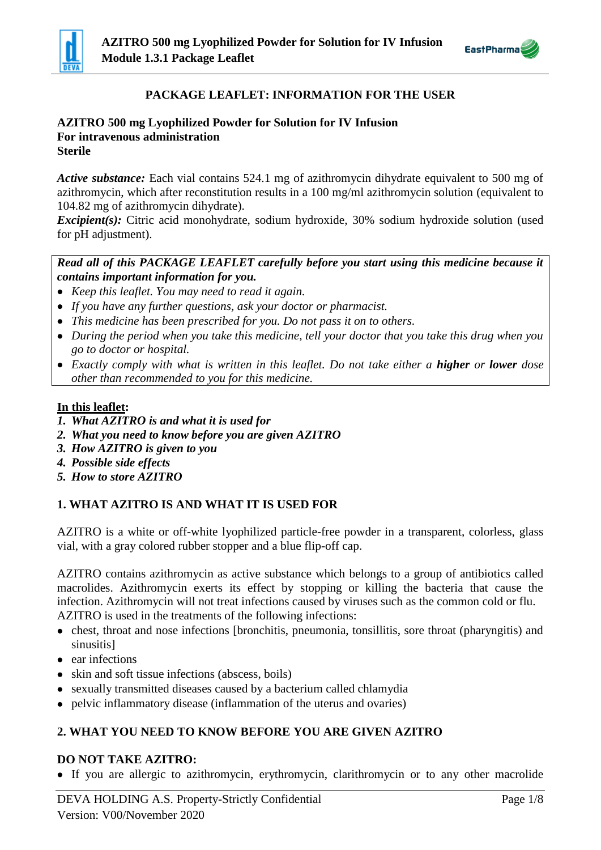



# **PACKAGE LEAFLET: INFORMATION FOR THE USER**

#### **AZITRO 500 mg Lyophilized Powder for Solution for IV Infusion For intravenous administration Sterile**

*Active substance:* Each vial contains 524.1 mg of azithromycin dihydrate equivalent to 500 mg of azithromycin, which after reconstitution results in a 100 mg/ml azithromycin solution (equivalent to 104.82 mg of azithromycin dihydrate).

*Excipient(s)*: Citric acid monohydrate, sodium hydroxide, 30% sodium hydroxide solution (used for pH adjustment).

## *Read all of this PACKAGE LEAFLET carefully before you start using this medicine because it contains important information for you.*

- *Keep this leaflet. You may need to read it again.*
- *If you have any further questions, ask your doctor or pharmacist.*
- *This medicine has been prescribed for you. Do not pass it on to others.*
- *During the period when you take this medicine, tell your doctor that you take this drug when you go to doctor or hospital.*
- *Exactly comply with what is written in this leaflet. Do not take either a higher or lower dose other than recommended to you for this medicine.*

## **In this leaflet:**

- *1. What AZITRO is and what it is used for*
- *2. What you need to know before you are given AZITRO*
- *3. How AZITRO is given to you*
- *4. Possible side effects*
- *5. How to store AZITRO*

# **1. WHAT AZITRO IS AND WHAT IT IS USED FOR**

AZITRO is a white or off-white lyophilized particle-free powder in a transparent, colorless, glass vial, with a gray colored rubber stopper and a blue flip-off cap.

AZITRO contains azithromycin as active substance which belongs to a group of antibiotics called macrolides. Azithromycin exerts its effect by stopping or killing the bacteria that cause the infection. Azithromycin will not treat infections caused by viruses such as the common cold or flu. AZITRO is used in the treatments of the following infections:

- chest, throat and nose infections [bronchitis, pneumonia, tonsillitis, sore throat (pharyngitis) and sinusitis]
- ear infections
- skin and soft tissue infections (abscess, boils)
- sexually transmitted diseases caused by a bacterium called chlamydia
- pelvic inflammatory disease (inflammation of the uterus and ovaries)

# **2. WHAT YOU NEED TO KNOW BEFORE YOU ARE GIVEN AZITRO**

## **DO NOT TAKE AZITRO:**

If you are allergic to azithromycin, erythromycin, clarithromycin or to any other macrolide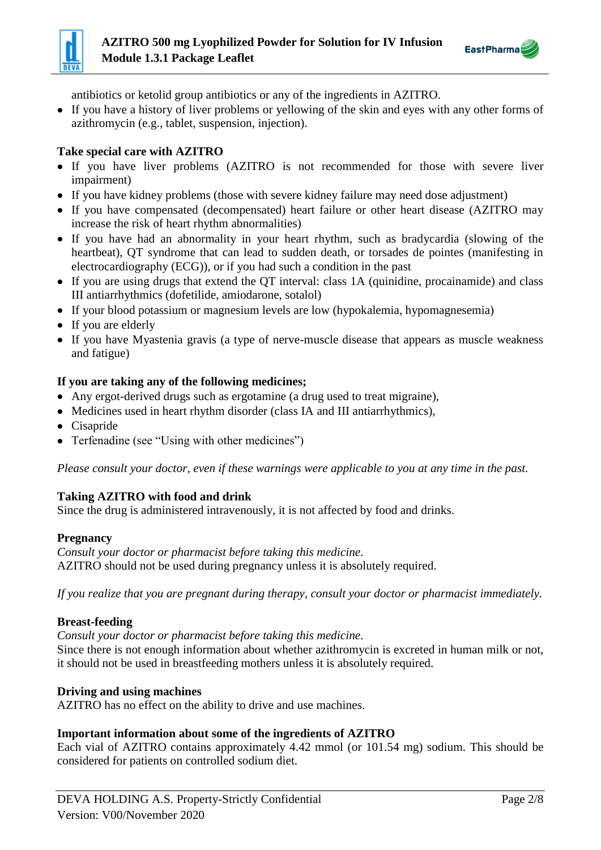



antibiotics or ketolid group antibiotics or any of the ingredients in AZITRO.

 If you have a history of liver problems or yellowing of the skin and eyes with any other forms of azithromycin (e.g., tablet, suspension, injection).

## **Take special care with AZITRO**

- If you have liver problems (AZITRO is not recommended for those with severe liver impairment)
- If you have kidney problems (those with severe kidney failure may need dose adjustment)
- If you have compensated (decompensated) heart failure or other heart disease (AZITRO may increase the risk of heart rhythm abnormalities)
- If you have had an abnormality in your heart rhythm, such as bradycardia (slowing of the heartbeat), QT syndrome that can lead to sudden death, or torsades de pointes (manifesting in electrocardiography (ECG)), or if you had such a condition in the past
- If you are using drugs that extend the QT interval: class 1A (quinidine, procainamide) and class III antiarrhythmics (dofetilide, amiodarone, sotalol)
- If your blood potassium or magnesium levels are low (hypokalemia, hypomagnesemia)
- If you are elderly
- If you have Myastenia gravis (a type of nerve-muscle disease that appears as muscle weakness and fatigue)

## **If you are taking any of the following medicines;**

- Any ergot-derived drugs such as ergotamine (a drug used to treat migraine),
- Medicines used in heart rhythm disorder (class IA and III antiarrhythmics),
- Cisapride
- Terfenadine (see "Using with other medicines")

*Please consult your doctor, even if these warnings were applicable to you at any time in the past.*

## **Taking AZITRO with food and drink**

Since the drug is administered intravenously, it is not affected by food and drinks.

#### **Pregnancy**

*Consult your doctor or pharmacist before taking this medicine.* AZITRO should not be used during pregnancy unless it is absolutely required.

*If you realize that you are pregnant during therapy, consult your doctor or pharmacist immediately.*

#### **Breast-feeding**

*Consult your doctor or pharmacist before taking this medicine.* Since there is not enough information about whether azithromycin is excreted in human milk or not, it should not be used in breastfeeding mothers unless it is absolutely required.

## **Driving and using machines**

AZITRO has no effect on the ability to drive and use machines.

## **Important information about some of the ingredients of AZITRO**

Each vial of AZITRO contains approximately 4.42 mmol (or 101.54 mg) sodium. This should be considered for patients on controlled sodium diet.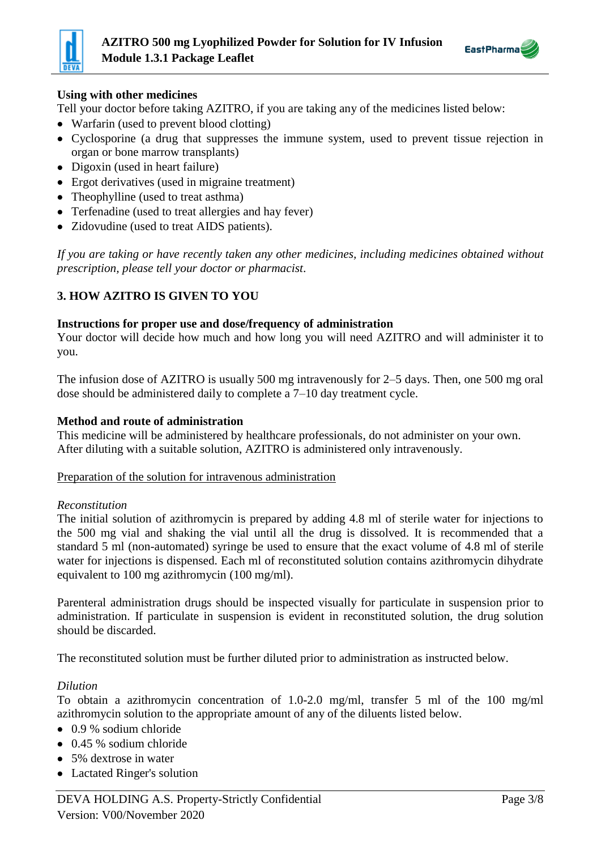



## **Using with other medicines**

Tell your doctor before taking AZITRO, if you are taking any of the medicines listed below:

- Warfarin (used to prevent blood clotting)
- Cyclosporine (a drug that suppresses the immune system, used to prevent tissue rejection in organ or bone marrow transplants)
- Digoxin (used in heart failure)
- Ergot derivatives (used in migraine treatment)
- Theophylline (used to treat asthma)
- Terfenadine (used to treat allergies and hay fever)
- Zidovudine (used to treat AIDS patients).

*If you are taking or have recently taken any other medicines, including medicines obtained without prescription, please tell your doctor or pharmacist*.

## **3. HOW AZITRO IS GIVEN TO YOU**

#### **Instructions for proper use and dose/frequency of administration**

Your doctor will decide how much and how long you will need AZITRO and will administer it to you.

The infusion dose of AZITRO is usually 500 mg intravenously for 2–5 days. Then, one 500 mg oral dose should be administered daily to complete a 7–10 day treatment cycle.

#### **Method and route of administration**

This medicine will be administered by healthcare professionals, do not administer on your own. After diluting with a suitable solution, AZITRO is administered only intravenously.

Preparation of the solution for intravenous administration

#### *Reconstitution*

The initial solution of azithromycin is prepared by adding 4.8 ml of sterile water for injections to the 500 mg vial and shaking the vial until all the drug is dissolved. It is recommended that a standard 5 ml (non-automated) syringe be used to ensure that the exact volume of 4.8 ml of sterile water for injections is dispensed. Each ml of reconstituted solution contains azithromycin dihydrate equivalent to 100 mg azithromycin (100 mg/ml).

Parenteral administration drugs should be inspected visually for particulate in suspension prior to administration. If particulate in suspension is evident in reconstituted solution, the drug solution should be discarded.

The reconstituted solution must be further diluted prior to administration as instructed below.

#### *Dilution*

To obtain a azithromycin concentration of 1.0-2.0 mg/ml, transfer 5 ml of the 100 mg/ml azithromycin solution to the appropriate amount of any of the diluents listed below.

- 0.9 % sodium chloride
- $\bullet$  0.45 % sodium chloride
- 5% dextrose in water
- Lactated Ringer's solution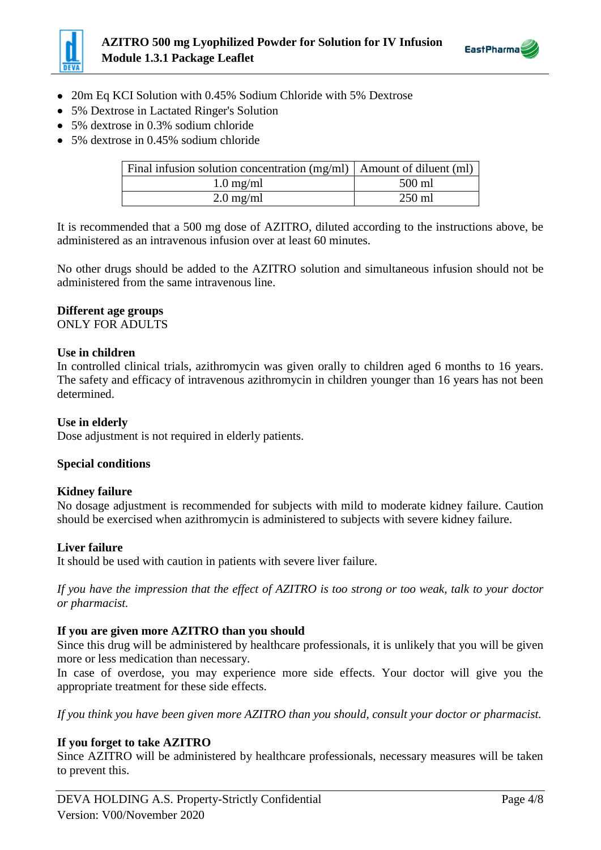



- 20m Eq KCI Solution with 0.45% Sodium Chloride with 5% Dextrose
- 5% Dextrose in Lactated Ringer's Solution
- 5% dextrose in 0.3% sodium chloride
- 5% dextrose in 0.45% sodium chloride

| Final infusion solution concentration $(mg/ml)$   Amount of diluent $(ml)$ |          |
|----------------------------------------------------------------------------|----------|
| $1.0 \text{ mg/ml}$                                                        | 500 ml   |
| $2.0 \text{ mg/ml}$                                                        | $250$ ml |

It is recommended that a 500 mg dose of AZITRO, diluted according to the instructions above, be administered as an intravenous infusion over at least 60 minutes.

No other drugs should be added to the AZITRO solution and simultaneous infusion should not be administered from the same intravenous line.

#### **Different age groups**

ONLY FOR ADULTS

#### **Use in children**

In controlled clinical trials, azithromycin was given orally to children aged 6 months to 16 years. The safety and efficacy of intravenous azithromycin in children younger than 16 years has not been determined.

### **Use in elderly**

Dose adjustment is not required in elderly patients.

#### **Special conditions**

#### **Kidney failure**

No dosage adjustment is recommended for subjects with mild to moderate kidney failure. Caution should be exercised when azithromycin is administered to subjects with severe kidney failure.

#### **Liver failure**

It should be used with caution in patients with severe liver failure.

*If you have the impression that the effect of AZITRO is too strong or too weak, talk to your doctor or pharmacist.*

#### **If you are given more AZITRO than you should**

Since this drug will be administered by healthcare professionals, it is unlikely that you will be given more or less medication than necessary.

In case of overdose, you may experience more side effects. Your doctor will give you the appropriate treatment for these side effects.

*If you think you have been given more AZITRO than you should, consult your doctor or pharmacist.*

## **If you forget to take AZITRO**

Since AZITRO will be administered by healthcare professionals, necessary measures will be taken to prevent this.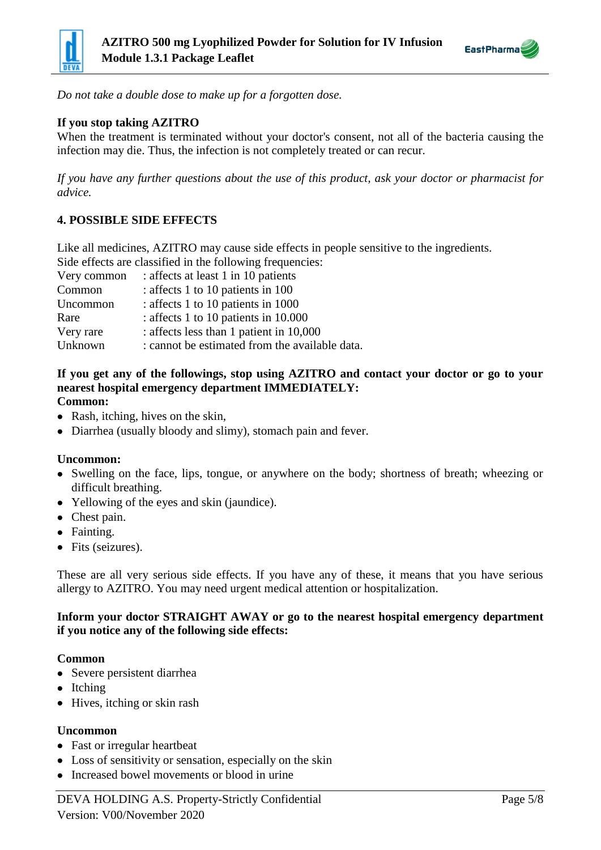



*Do not take a double dose to make up for a forgotten dose.* 

## **If you stop taking AZITRO**

When the treatment is terminated without your doctor's consent, not all of the bacteria causing the infection may die. Thus, the infection is not completely treated or can recur.

*If you have any further questions about the use of this product, ask your doctor or pharmacist for advice.*

## **4. POSSIBLE SIDE EFFECTS**

Like all medicines, AZITRO may cause side effects in people sensitive to the ingredients. Side effects are classified in the following frequencies:

| Side effects are classified in the following frequencies: |                                                |  |
|-----------------------------------------------------------|------------------------------------------------|--|
| Very common                                               | : affects at least 1 in 10 patients            |  |
| Common                                                    | : affects 1 to 10 patients in 100              |  |
| Uncommon                                                  | : affects 1 to 10 patients in 1000             |  |
| Rare                                                      | : affects 1 to 10 patients in 10.000           |  |
| Very rare                                                 | : affects less than 1 patient in 10,000        |  |
| Unknown                                                   | : cannot be estimated from the available data. |  |

# **If you get any of the followings, stop using AZITRO and contact your doctor or go to your nearest hospital emergency department IMMEDIATELY:**

#### **Common:**

- Rash, itching, hives on the skin,
- Diarrhea (usually bloody and slimy), stomach pain and fever.

#### **Uncommon:**

- Swelling on the face, lips, tongue, or anywhere on the body; shortness of breath; wheezing or difficult breathing.
- Yellowing of the eyes and skin (jaundice).
- Chest pain.
- Fainting.
- Fits (seizures).

These are all very serious side effects. If you have any of these, it means that you have serious allergy to AZITRO. You may need urgent medical attention or hospitalization.

#### **Inform your doctor STRAIGHT AWAY or go to the nearest hospital emergency department if you notice any of the following side effects:**

#### **Common**

- Severe persistent diarrhea
- Itching
- Hives, itching or skin rash

#### **Uncommon**

- Fast or irregular heartbeat
- Loss of sensitivity or sensation, especially on the skin
- Increased bowel movements or blood in urine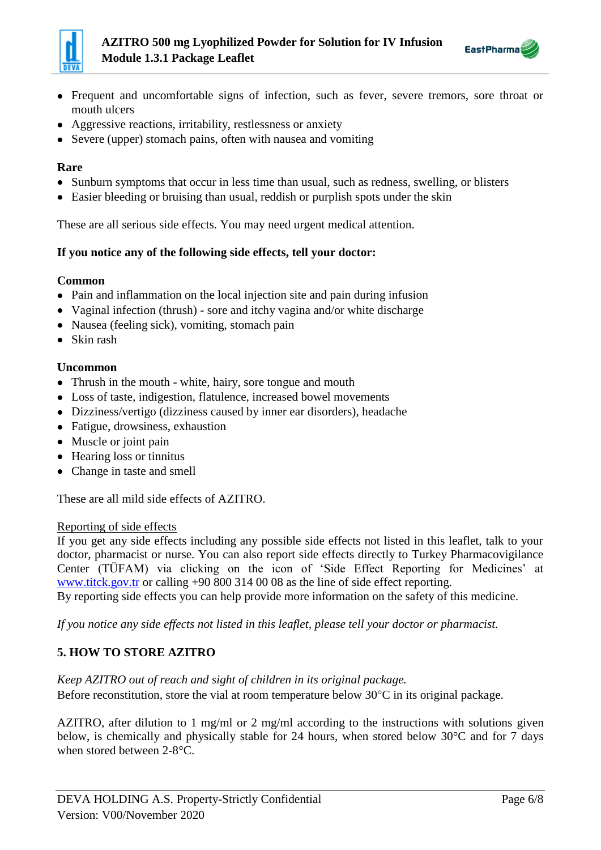



- Frequent and uncomfortable signs of infection, such as fever, severe tremors, sore throat or mouth ulcers
- Aggressive reactions, irritability, restlessness or anxiety
- Severe (upper) stomach pains, often with nausea and vomiting

## **Rare**

- Sunburn symptoms that occur in less time than usual, such as redness, swelling, or blisters
- Easier bleeding or bruising than usual, reddish or purplish spots under the skin

These are all serious side effects. You may need urgent medical attention.

## **If you notice any of the following side effects, tell your doctor:**

## **Common**

- Pain and inflammation on the local injection site and pain during infusion
- Vaginal infection (thrush) sore and itchy vagina and/or white discharge
- Nausea (feeling sick), vomiting, stomach pain
- Skin rash

## **Uncommon**

- Thrush in the mouth white, hairy, sore tongue and mouth
- Loss of taste, indigestion, flatulence, increased bowel movements
- Dizziness/vertigo (dizziness caused by inner ear disorders), headache
- Fatigue, drowsiness, exhaustion
- Muscle or joint pain
- Hearing loss or tinnitus
- Change in taste and smell

These are all mild side effects of AZITRO.

## Reporting of side effects

If you get any side effects including any possible side effects not listed in this leaflet, talk to your doctor, pharmacist or nurse. You can also report side effects directly to Turkey Pharmacovigilance Center (TÜFAM) via clicking on the icon of 'Side Effect Reporting for Medicines' at www.titck.gov.tr or calling +90 800 314 00 08 as the line of side effect reporting.

By reporting side effects you can help provide more information on the safety of this medicine.

*If you notice any side effects not listed in this leaflet, please tell your doctor or pharmacist.*

# **5. HOW TO STORE AZITRO**

## *Keep AZITRO out of reach and sight of children in its original package.*

Before reconstitution, store the vial at room temperature below  $30^{\circ}$ C in its original package.

AZITRO, after dilution to 1 mg/ml or 2 mg/ml according to the instructions with solutions given below, is chemically and physically stable for 24 hours, when stored below 30°C and for 7 days when stored between 2-8°C.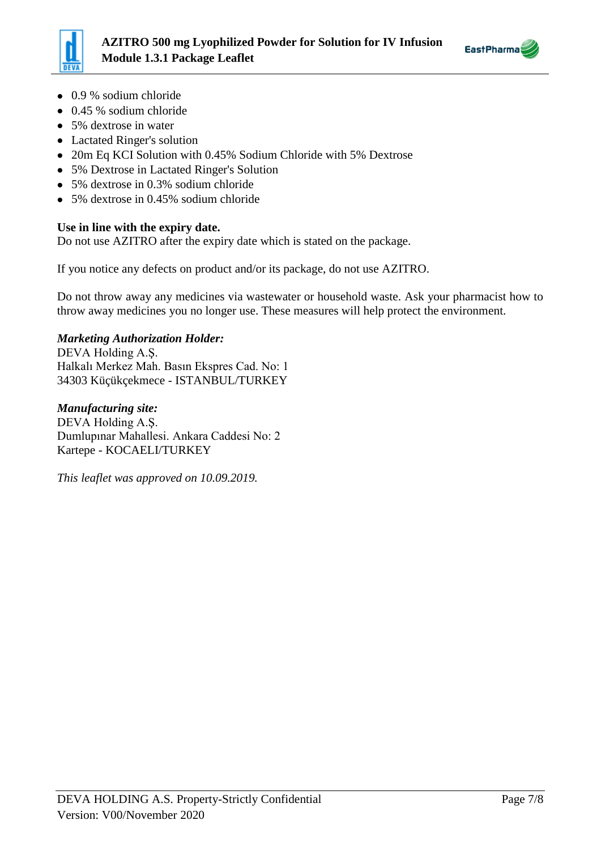



- 0.9 % sodium chloride
- 0.45 % sodium chloride
- 5% dextrose in water
- Lactated Ringer's solution
- 20m Eq KCI Solution with 0.45% Sodium Chloride with 5% Dextrose
- 5% Dextrose in Lactated Ringer's Solution
- 5% dextrose in 0.3% sodium chloride
- 5% dextrose in 0.45% sodium chloride

## **Use in line with the expiry date.**

Do not use AZITRO after the expiry date which is stated on the package.

If you notice any defects on product and/or its package, do not use AZITRO.

Do not throw away any medicines via wastewater or household waste. Ask your pharmacist how to throw away medicines you no longer use. These measures will help protect the environment.

## *Marketing Authorization Holder:*

DEVA Holding A.Ş. Halkalı Merkez Mah. Basın Ekspres Cad. No: 1 34303 Küçükçekmece - ISTANBUL/TURKEY

*Manufacturing site:* DEVA Holding A.Ş. Dumlupınar Mahallesi. Ankara Caddesi No: 2 Kartepe - KOCAELI/TURKEY

*This leaflet was approved on 10.09.2019.*